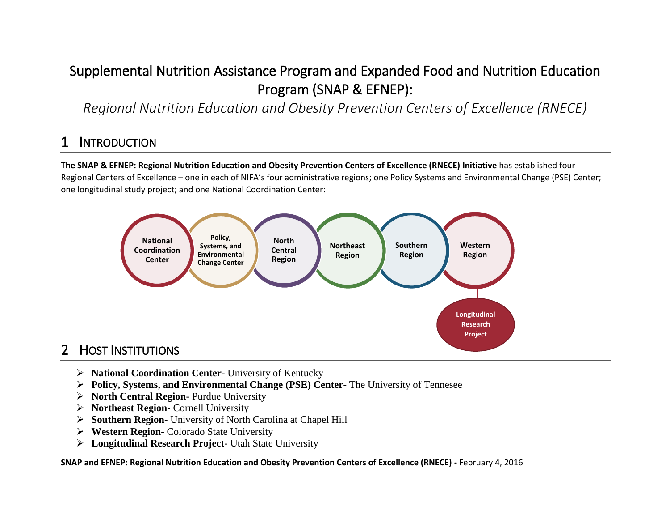# Supplemental Nutrition Assistance Program and Expanded Food and Nutrition Education Program (SNAP & EFNEP):

*Regional Nutrition Education and Obesity Prevention Centers of Excellence (RNECE)*

## **INTRODUCTION**

**The SNAP & EFNEP: Regional Nutrition Education and Obesity Prevention Centers of Excellence (RNECE) Initiative** has established four Regional Centers of Excellence – one in each of NIFA's four administrative regions; one Policy Systems and Environmental Change (PSE) Center; one longitudinal study project; and one National Coordination Center:



## **HOST INSTITUTIONS**

- **National Coordination Center-** University of Kentucky
- **Policy, Systems, and Environmental Change (PSE) Center-** The University of Tennesee
- **North Central Region-** Purdue University
- **Northeast Region-** Cornell University
- **Southern Region-** University of North Carolina at Chapel Hill
- **Western Region** Colorado State University
- **Longitudinal Research Project-** Utah State University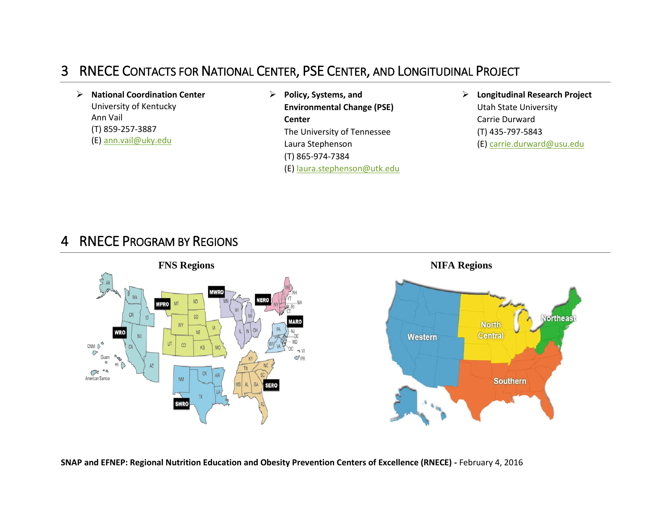### 3 RNECE CONTACTS FOR NATIONAL CENTER, PSE CENTER, AND LONGITUDINAL PROJECT

 **National Coordination Center** University of Kentucky Ann Vail (T) 859-257-3887 (E[\) ann.vail@uky.edu](mailto:ann.vail@uky.edu)

 **Policy, Systems, and Environmental Change (PSE) Center** The University of Tennessee Laura Stephenson (T) 865-974-7384 (E[\) laura.stephenson@utk.edu](mailto:laura.stephenson@utk.edu)  **Longitudinal Research Project** Utah State University Carrie Durward (T) 435-797-5843 (E[\) carrie.durward@usu.edu](mailto:carrie.durward@usu.edu)

#### 4 RNECE PROGRAM BY REGIONS

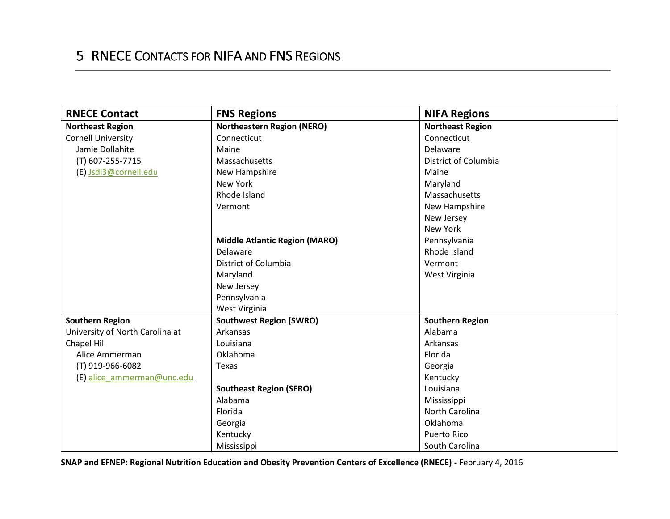## 5 RNECE CONTACTS FOR NIFA AND FNS REGIONS

| <b>RNECE Contact</b>            | <b>FNS Regions</b>                   | <b>NIFA Regions</b>     |
|---------------------------------|--------------------------------------|-------------------------|
| <b>Northeast Region</b>         | <b>Northeastern Region (NERO)</b>    | <b>Northeast Region</b> |
| <b>Cornell University</b>       | Connecticut                          | Connecticut             |
| Jamie Dollahite                 | Maine                                | Delaware                |
| (T) 607-255-7715                | Massachusetts                        | District of Columbia    |
| (E) Jsdl3@cornell.edu           | New Hampshire                        | Maine                   |
|                                 | New York                             | Maryland                |
|                                 | Rhode Island                         | Massachusetts           |
|                                 | Vermont                              | New Hampshire           |
|                                 |                                      | New Jersey              |
|                                 |                                      | New York                |
|                                 | <b>Middle Atlantic Region (MARO)</b> | Pennsylvania            |
|                                 | Delaware                             | Rhode Island            |
|                                 | District of Columbia                 | Vermont                 |
|                                 | Maryland                             | West Virginia           |
|                                 | New Jersey                           |                         |
|                                 | Pennsylvania                         |                         |
|                                 | West Virginia                        |                         |
| <b>Southern Region</b>          | <b>Southwest Region (SWRO)</b>       | <b>Southern Region</b>  |
| University of North Carolina at | Arkansas                             | Alabama                 |
| Chapel Hill                     | Louisiana                            | Arkansas                |
| Alice Ammerman                  | Oklahoma                             | Florida                 |
| (T) 919-966-6082                | Texas                                | Georgia                 |
| (E) alice ammerman@unc.edu      |                                      | Kentucky                |
|                                 | <b>Southeast Region (SERO)</b>       | Louisiana               |
|                                 | Alabama                              | Mississippi             |
|                                 | Florida                              | North Carolina          |
|                                 | Georgia                              | Oklahoma                |
|                                 | Kentucky                             | <b>Puerto Rico</b>      |
|                                 | Mississippi                          | South Carolina          |